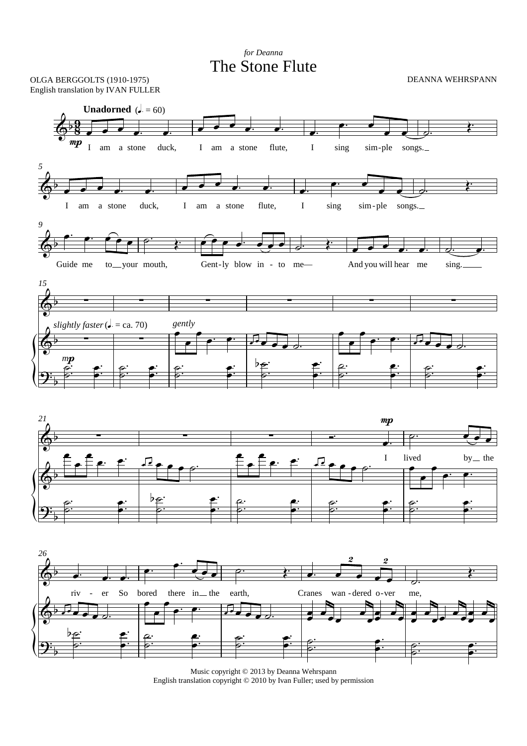The Stone Flute *for Deanna*





Music copyright © 2013 by Deanna Wehrspann English translation copyright © 2010 by Ivan Fuller; used by permission